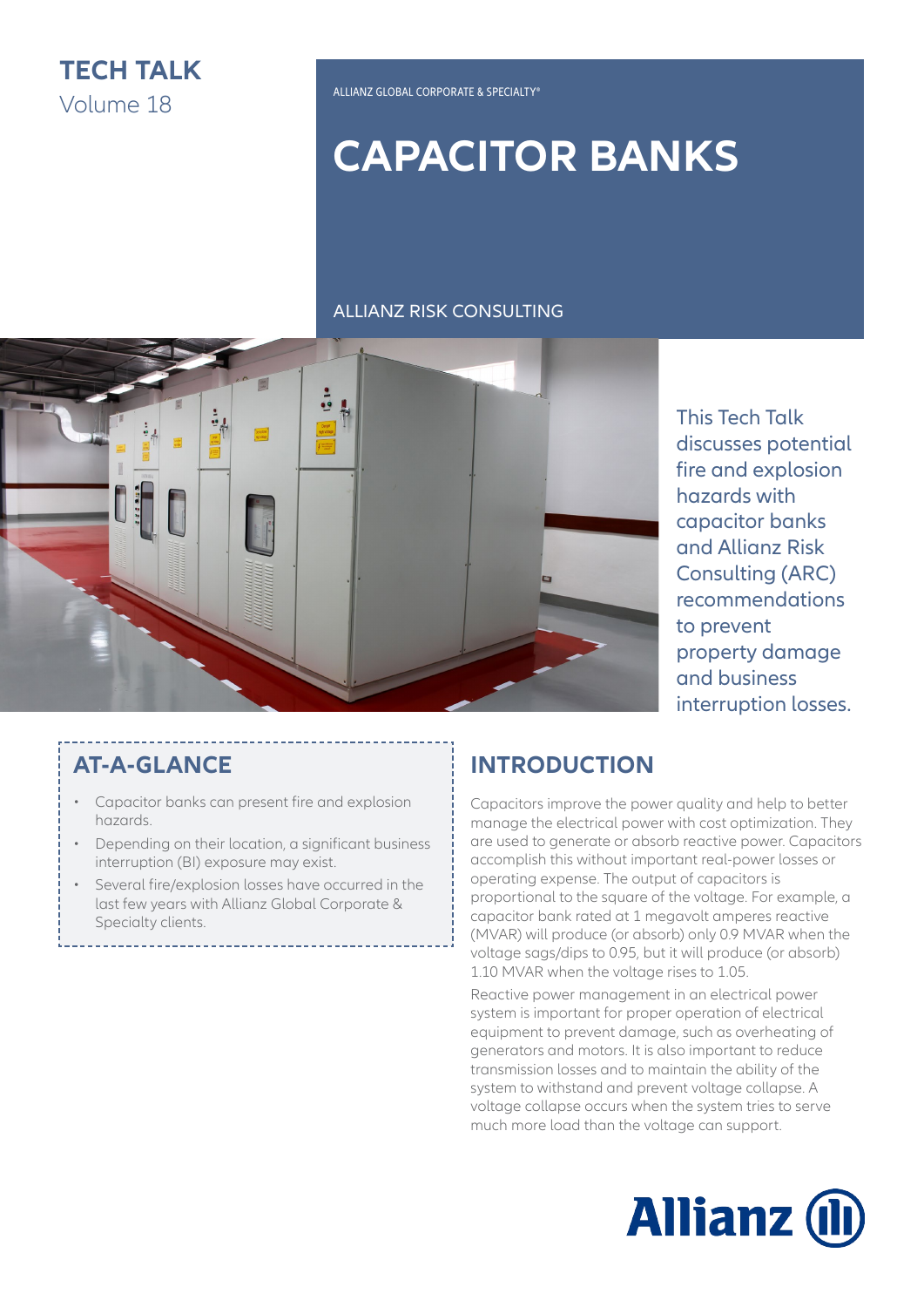

# **CAPACITOR BANKS**

#### ALLIANZ RISK CONSULTING



This Tech Talk discusses potential fire and explosion hazards with capacitor banks and Allianz Risk Consulting (ARC) recommendations to prevent property damage and business interruption losses.

### **AT-A-GLANCE**

- Capacitor banks can present fire and explosion hazards.
- Depending on their location, a significant business interruption (BI) exposure may exist.
- Several fire/explosion losses have occurred in the last few years with Allianz Global Corporate & Specialty clients.

## **INTRODUCTION**

Capacitors improve the power quality and help to better manage the electrical power with cost optimization. They are used to generate or absorb reactive power. Capacitors accomplish this without important real-power losses or operating expense. The output of capacitors is proportional to the square of the voltage. For example, a capacitor bank rated at 1 megavolt amperes reactive (MVAR) will produce (or absorb) only 0.9 MVAR when the voltage sags/dips to 0.95, but it will produce (or absorb) 1.10 MVAR when the voltage rises to 1.05.

Reactive power management in an electrical power system is important for proper operation of electrical equipment to prevent damage, such as overheating of generators and motors. It is also important to reduce transmission losses and to maintain the ability of the system to withstand and prevent voltage collapse. A voltage collapse occurs when the system tries to serve much more load than the voltage can support.

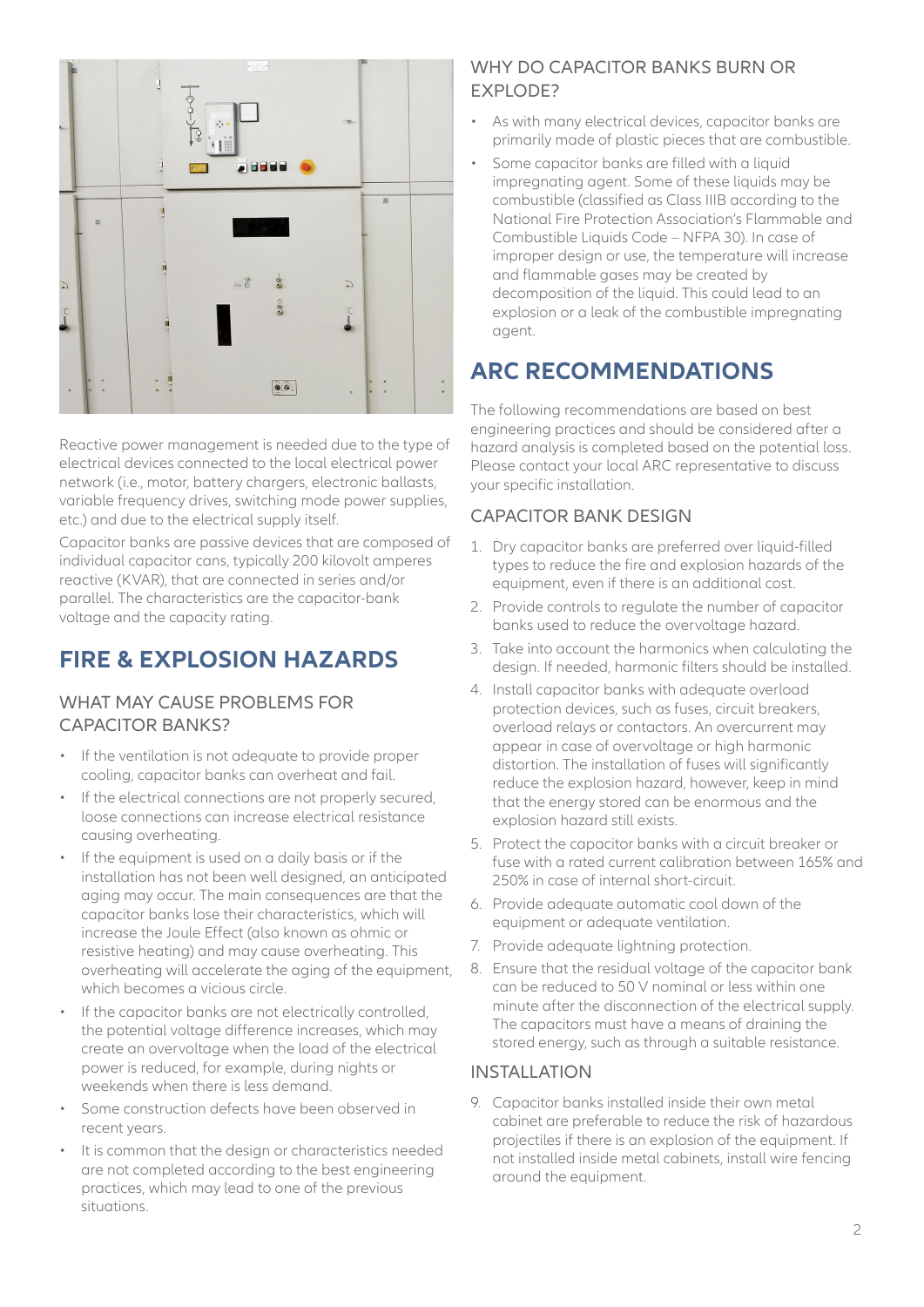

Reactive power management is needed due to the type of electrical devices connected to the local electrical power network (i.e., motor, battery chargers, electronic ballasts, variable frequency drives, switching mode power supplies, etc.) and due to the electrical supply itself.

Capacitor banks are passive devices that are composed of individual capacitor cans, typically 200 kilovolt amperes reactive (KVAR), that are connected in series and/or parallel. The characteristics are the capacitor-bank voltage and the capacity rating.

# **FIRE & EXPLOSION HAZARDS**

#### WHAT MAY CAUSE PROBLEMS FOR CAPACITOR BANKS?

- If the ventilation is not adequate to provide proper cooling, capacitor banks can overheat and fail.
- If the electrical connections are not properly secured, loose connections can increase electrical resistance causing overheating.
- If the equipment is used on a daily basis or if the installation has not been well designed, an anticipated aging may occur. The main consequences are that the capacitor banks lose their characteristics, which will increase the Joule Effect (also known as ohmic or resistive heating) and may cause overheating. This overheating will accelerate the aging of the equipment, which becomes a vicious circle.
- If the capacitor banks are not electrically controlled, the potential voltage difference increases, which may create an overvoltage when the load of the electrical power is reduced, for example, during nights or weekends when there is less demand.
- Some construction defects have been observed in recent years.
- It is common that the design or characteristics needed are not completed according to the best engineering practices, which may lead to one of the previous situations.

#### WHY DO CAPACITOR BANKS BURN OR **EXPLODE?**

- As with many electrical devices, capacitor banks are primarily made of plastic pieces that are combustible.
- Some capacitor banks are filled with a liquid impregnating agent. Some of these liquids may be combustible (classified as Class IIIB according to the National Fire Protection Association's Flammable and Combustible Liquids Code – NFPA 30). In case of improper design or use, the temperature will increase and flammable gases may be created by decomposition of the liquid. This could lead to an explosion or a leak of the combustible impregnating agent.

# **ARC RECOMMENDATIONS**

The following recommendations are based on best engineering practices and should be considered after a hazard analysis is completed based on the potential loss. Please contact your local ARC representative to discuss your specific installation.

#### CAPACITOR BANK DESIGN

- 1. Dry capacitor banks are preferred over liquid-filled types to reduce the fire and explosion hazards of the equipment, even if there is an additional cost.
- 2. Provide controls to regulate the number of capacitor banks used to reduce the overvoltage hazard.
- 3. Take into account the harmonics when calculating the design. If needed, harmonic filters should be installed.
- 4. Install capacitor banks with adequate overload protection devices, such as fuses, circuit breakers, overload relays or contactors. An overcurrent may appear in case of overvoltage or high harmonic distortion. The installation of fuses will significantly reduce the explosion hazard, however, keep in mind that the energy stored can be enormous and the explosion hazard still exists.
- 5. Protect the capacitor banks with a circuit breaker or fuse with a rated current calibration between 165% and 250% in case of internal short-circuit.
- 6. Provide adequate automatic cool down of the equipment or adequate ventilation.
- 7. Provide adequate lightning protection.
- 8. Ensure that the residual voltage of the capacitor bank can be reduced to 50 V nominal or less within one minute after the disconnection of the electrical supply. The capacitors must have a means of draining the stored energy, such as through a suitable resistance.

#### INSTALLATION

9. Capacitor banks installed inside their own metal cabinet are preferable to reduce the risk of hazardous projectiles if there is an explosion of the equipment. If not installed inside metal cabinets, install wire fencing around the equipment.